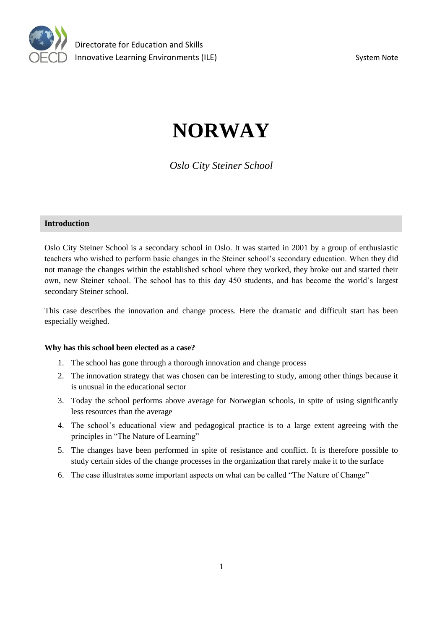

# **NORWAY**

*Oslo City Steiner School*

#### **Introduction**

Oslo City Steiner School is a secondary school in Oslo. It was started in 2001 by a group of enthusiastic teachers who wished to perform basic changes in the Steiner school's secondary education. When they did not manage the changes within the established school where they worked, they broke out and started their own, new Steiner school. The school has to this day 450 students, and has become the world's largest secondary Steiner school.

This case describes the innovation and change process. Here the dramatic and difficult start has been especially weighed.

#### **Why has this school been elected as a case?**

- 1. The school has gone through a thorough innovation and change process
- 2. The innovation strategy that was chosen can be interesting to study, among other things because it is unusual in the educational sector
- 3. Today the school performs above average for Norwegian schools, in spite of using significantly less resources than the average
- 4. The school's educational view and pedagogical practice is to a large extent agreeing with the principles in "The Nature of Learning"
- 5. The changes have been performed in spite of resistance and conflict. It is therefore possible to study certain sides of the change processes in the organization that rarely make it to the surface
- 6. The case illustrates some important aspects on what can be called "The Nature of Change"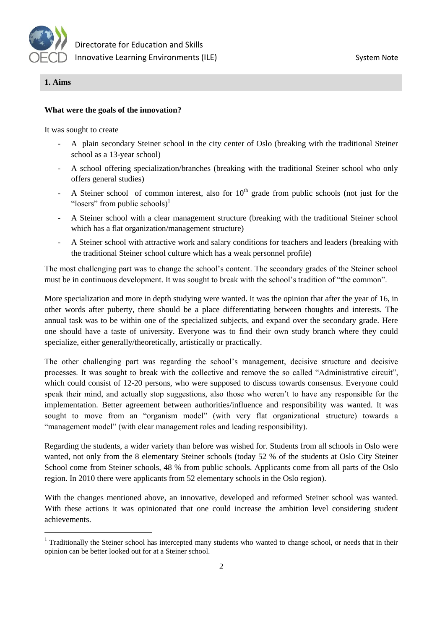

## **1. Aims**

## **What were the goals of the innovation?**

It was sought to create

- A plain secondary Steiner school in the city center of Oslo (breaking with the traditional Steiner school as a 13-year school)
- A school offering specialization/branches (breaking with the traditional Steiner school who only offers general studies)
- A Steiner school of common interest, also for  $10<sup>th</sup>$  grade from public schools (not just for the "losers" from public schools $^1$
- A Steiner school with a clear management structure (breaking with the traditional Steiner school which has a flat organization/management structure)
- A Steiner school with attractive work and salary conditions for teachers and leaders (breaking with the traditional Steiner school culture which has a weak personnel profile)

The most challenging part was to change the school's content. The secondary grades of the Steiner school must be in continuous development. It was sought to break with the school's tradition of "the common".

More specialization and more in depth studying were wanted. It was the opinion that after the year of 16, in other words after puberty, there should be a place differentiating between thoughts and interests. The annual task was to be within one of the specialized subjects, and expand over the secondary grade. Here one should have a taste of university. Everyone was to find their own study branch where they could specialize, either generally/theoretically, artistically or practically.

The other challenging part was regarding the school's management, decisive structure and decisive processes. It was sought to break with the collective and remove the so called "Administrative circuit", which could consist of 12-20 persons, who were supposed to discuss towards consensus. Everyone could speak their mind, and actually stop suggestions, also those who weren't to have any responsible for the implementation. Better agreement between authorities/influence and responsibility was wanted. It was sought to move from an "organism model" (with very flat organizational structure) towards a "management model" (with clear management roles and leading responsibility).

Regarding the students, a wider variety than before was wished for. Students from all schools in Oslo were wanted, not only from the 8 elementary Steiner schools (today 52 % of the students at Oslo City Steiner School come from Steiner schools, 48 % from public schools. Applicants come from all parts of the Oslo region. In 2010 there were applicants from 52 elementary schools in the Oslo region).

With the changes mentioned above, an innovative, developed and reformed Steiner school was wanted. With these actions it was opinionated that one could increase the ambition level considering student achievements.

<sup>&</sup>lt;sup>1</sup> Traditionally the Steiner school has intercepted many students who wanted to change school, or needs that in their opinion can be better looked out for at a Steiner school.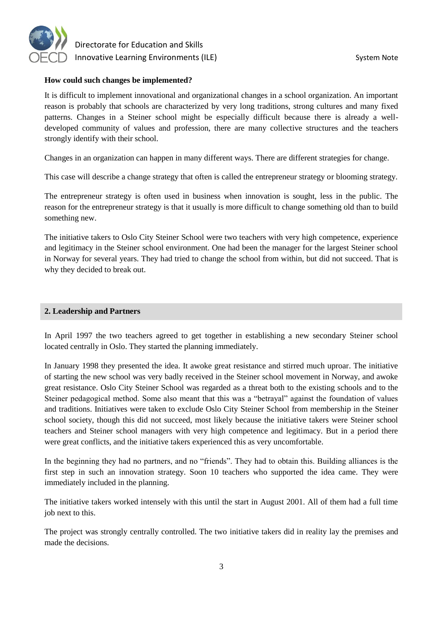

#### **How could such changes be implemented?**

It is difficult to implement innovational and organizational changes in a school organization. An important reason is probably that schools are characterized by very long traditions, strong cultures and many fixed patterns. Changes in a Steiner school might be especially difficult because there is already a welldeveloped community of values and profession, there are many collective structures and the teachers strongly identify with their school.

Changes in an organization can happen in many different ways. There are different strategies for change.

This case will describe a change strategy that often is called the entrepreneur strategy or blooming strategy.

The entrepreneur strategy is often used in business when innovation is sought, less in the public. The reason for the entrepreneur strategy is that it usually is more difficult to change something old than to build something new.

The initiative takers to Oslo City Steiner School were two teachers with very high competence, experience and legitimacy in the Steiner school environment. One had been the manager for the largest Steiner school in Norway for several years. They had tried to change the school from within, but did not succeed. That is why they decided to break out.

#### **2. Leadership and Partners**

In April 1997 the two teachers agreed to get together in establishing a new secondary Steiner school located centrally in Oslo. They started the planning immediately.

In January 1998 they presented the idea. It awoke great resistance and stirred much uproar. The initiative of starting the new school was very badly received in the Steiner school movement in Norway, and awoke great resistance. Oslo City Steiner School was regarded as a threat both to the existing schools and to the Steiner pedagogical method. Some also meant that this was a "betrayal" against the foundation of values and traditions. Initiatives were taken to exclude Oslo City Steiner School from membership in the Steiner school society, though this did not succeed, most likely because the initiative takers were Steiner school teachers and Steiner school managers with very high competence and legitimacy. But in a period there were great conflicts, and the initiative takers experienced this as very uncomfortable.

In the beginning they had no partners, and no "friends". They had to obtain this. Building alliances is the first step in such an innovation strategy. Soon 10 teachers who supported the idea came. They were immediately included in the planning.

The initiative takers worked intensely with this until the start in August 2001. All of them had a full time job next to this.

The project was strongly centrally controlled. The two initiative takers did in reality lay the premises and made the decisions.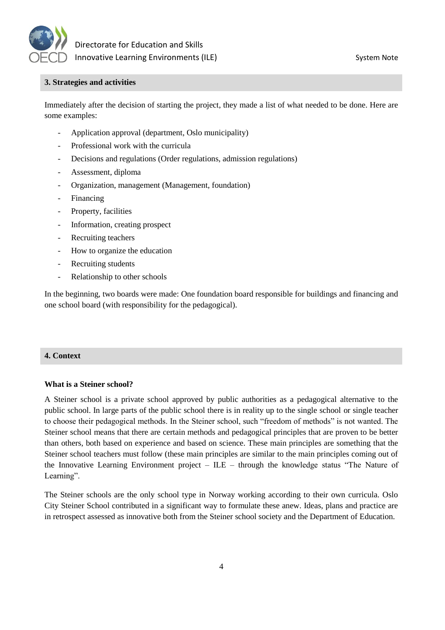

## **3. Strategies and activities**

Immediately after the decision of starting the project, they made a list of what needed to be done. Here are some examples:

- Application approval (department, Oslo municipality)
- Professional work with the curricula
- Decisions and regulations (Order regulations, admission regulations)
- Assessment, diploma
- Organization, management (Management, foundation)
- Financing
- Property, facilities
- Information, creating prospect
- Recruiting teachers
- How to organize the education
- Recruiting students
- Relationship to other schools

In the beginning, two boards were made: One foundation board responsible for buildings and financing and one school board (with responsibility for the pedagogical).

#### **4. Context**

#### **What is a Steiner school?**

A Steiner school is a private school approved by public authorities as a pedagogical alternative to the public school. In large parts of the public school there is in reality up to the single school or single teacher to choose their pedagogical methods. In the Steiner school, such "freedom of methods" is not wanted. The Steiner school means that there are certain methods and pedagogical principles that are proven to be better than others, both based on experience and based on science. These main principles are something that the Steiner school teachers must follow (these main principles are similar to the main principles coming out of the Innovative Learning Environment project – ILE – through the knowledge status "The Nature of Learning".

The Steiner schools are the only school type in Norway working according to their own curricula. Oslo City Steiner School contributed in a significant way to formulate these anew. Ideas, plans and practice are in retrospect assessed as innovative both from the Steiner school society and the Department of Education.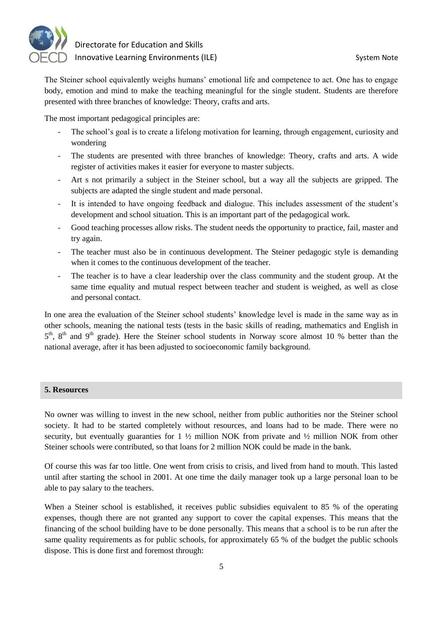

The Steiner school equivalently weighs humans' emotional life and competence to act. One has to engage body, emotion and mind to make the teaching meaningful for the single student. Students are therefore presented with three branches of knowledge: Theory, crafts and arts.

The most important pedagogical principles are:

- The school's goal is to create a lifelong motivation for learning, through engagement, curiosity and wondering
- The students are presented with three branches of knowledge: Theory, crafts and arts. A wide register of activities makes it easier for everyone to master subjects.
- Art s not primarily a subject in the Steiner school, but a way all the subjects are gripped. The subjects are adapted the single student and made personal.
- It is intended to have ongoing feedback and dialogue. This includes assessment of the student's development and school situation. This is an important part of the pedagogical work.
- Good teaching processes allow risks. The student needs the opportunity to practice, fail, master and try again.
- The teacher must also be in continuous development. The Steiner pedagogic style is demanding when it comes to the continuous development of the teacher.
- The teacher is to have a clear leadership over the class community and the student group. At the same time equality and mutual respect between teacher and student is weighed, as well as close and personal contact.

In one area the evaluation of the Steiner school students' knowledge level is made in the same way as in other schools, meaning the national tests (tests in the basic skills of reading, mathematics and English in 5<sup>th</sup>, 8<sup>th</sup> and 9<sup>th</sup> grade). Here the Steiner school students in Norway score almost 10 % better than the national average, after it has been adjusted to socioeconomic family background.

## **5. Resources**

No owner was willing to invest in the new school, neither from public authorities nor the Steiner school society. It had to be started completely without resources, and loans had to be made. There were no security, but eventually guaranties for  $1 \frac{1}{2}$  million NOK from private and  $\frac{1}{2}$  million NOK from other Steiner schools were contributed, so that loans for 2 million NOK could be made in the bank.

Of course this was far too little. One went from crisis to crisis, and lived from hand to mouth. This lasted until after starting the school in 2001. At one time the daily manager took up a large personal loan to be able to pay salary to the teachers.

When a Steiner school is established, it receives public subsidies equivalent to 85 % of the operating expenses, though there are not granted any support to cover the capital expenses. This means that the financing of the school building have to be done personally. This means that a school is to be run after the same quality requirements as for public schools, for approximately 65 % of the budget the public schools dispose. This is done first and foremost through: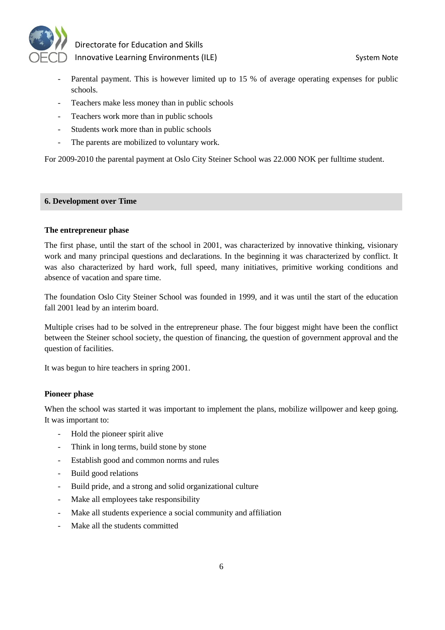

- Parental payment. This is however limited up to 15 % of average operating expenses for public schools.
- Teachers make less money than in public schools
- Teachers work more than in public schools
- Students work more than in public schools
- The parents are mobilized to voluntary work.

For 2009-2010 the parental payment at Oslo City Steiner School was 22.000 NOK per fulltime student.

## **6. Development over Time**

## **The entrepreneur phase**

The first phase, until the start of the school in 2001, was characterized by innovative thinking, visionary work and many principal questions and declarations. In the beginning it was characterized by conflict. It was also characterized by hard work, full speed, many initiatives, primitive working conditions and absence of vacation and spare time.

The foundation Oslo City Steiner School was founded in 1999, and it was until the start of the education fall 2001 lead by an interim board.

Multiple crises had to be solved in the entrepreneur phase. The four biggest might have been the conflict between the Steiner school society, the question of financing, the question of government approval and the question of facilities.

It was begun to hire teachers in spring 2001.

#### **Pioneer phase**

When the school was started it was important to implement the plans, mobilize willpower and keep going. It was important to:

- Hold the pioneer spirit alive
- Think in long terms, build stone by stone
- Establish good and common norms and rules
- Build good relations
- Build pride, and a strong and solid organizational culture
- Make all employees take responsibility
- Make all students experience a social community and affiliation
- Make all the students committed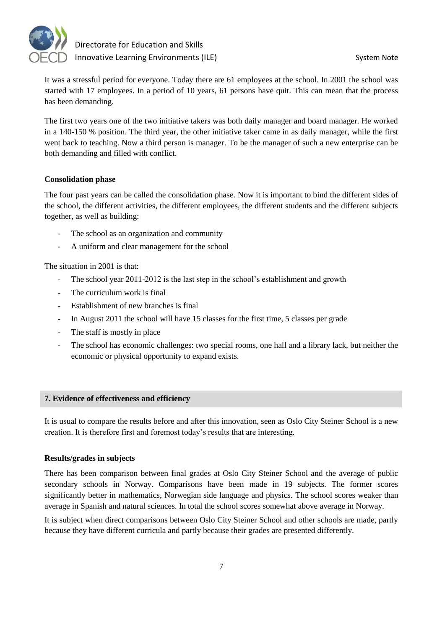

It was a stressful period for everyone. Today there are 61 employees at the school. In 2001 the school was started with 17 employees. In a period of 10 years, 61 persons have quit. This can mean that the process has been demanding.

The first two years one of the two initiative takers was both daily manager and board manager. He worked in a 140-150 % position. The third year, the other initiative taker came in as daily manager, while the first went back to teaching. Now a third person is manager. To be the manager of such a new enterprise can be both demanding and filled with conflict.

## **Consolidation phase**

The four past years can be called the consolidation phase. Now it is important to bind the different sides of the school, the different activities, the different employees, the different students and the different subjects together, as well as building:

- The school as an organization and community
- A uniform and clear management for the school

The situation in 2001 is that:

- The school year 2011-2012 is the last step in the school's establishment and growth
- The curriculum work is final
- Establishment of new branches is final
- In August 2011 the school will have 15 classes for the first time, 5 classes per grade
- The staff is mostly in place
- The school has economic challenges: two special rooms, one hall and a library lack, but neither the economic or physical opportunity to expand exists.

#### **7. Evidence of effectiveness and efficiency**

It is usual to compare the results before and after this innovation, seen as Oslo City Steiner School is a new creation. It is therefore first and foremost today's results that are interesting.

#### **Results/grades in subjects**

There has been comparison between final grades at Oslo City Steiner School and the average of public secondary schools in Norway. Comparisons have been made in 19 subjects. The former scores significantly better in mathematics, Norwegian side language and physics. The school scores weaker than average in Spanish and natural sciences. In total the school scores somewhat above average in Norway.

It is subject when direct comparisons between Oslo City Steiner School and other schools are made, partly because they have different curricula and partly because their grades are presented differently.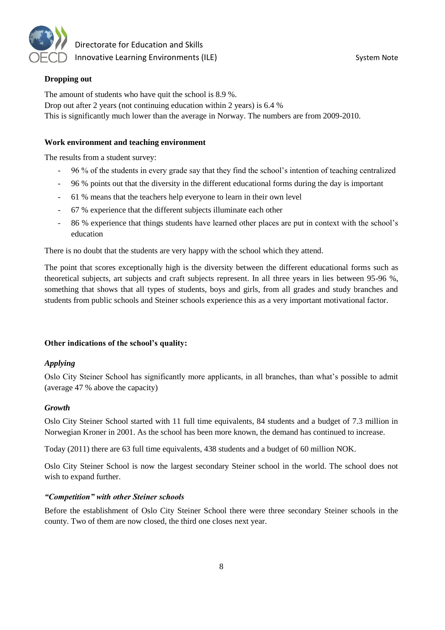

## **Dropping out**

The amount of students who have quit the school is 8.9 %. Drop out after 2 years (not continuing education within 2 years) is 6.4 % This is significantly much lower than the average in Norway. The numbers are from 2009-2010.

## **Work environment and teaching environment**

The results from a student survey:

- 96 % of the students in every grade say that they find the school's intention of teaching centralized
- 96 % points out that the diversity in the different educational forms during the day is important
- 61 % means that the teachers help everyone to learn in their own level
- 67 % experience that the different subjects illuminate each other
- 86 % experience that things students have learned other places are put in context with the school's education

There is no doubt that the students are very happy with the school which they attend.

The point that scores exceptionally high is the diversity between the different educational forms such as theoretical subjects, art subjects and craft subjects represent. In all three years in lies between 95-96 %, something that shows that all types of students, boys and girls, from all grades and study branches and students from public schools and Steiner schools experience this as a very important motivational factor.

## **Other indications of the school's quality:**

## *Applying*

Oslo City Steiner School has significantly more applicants, in all branches, than what's possible to admit (average 47 % above the capacity)

#### *Growth*

Oslo City Steiner School started with 11 full time equivalents, 84 students and a budget of 7.3 million in Norwegian Kroner in 2001. As the school has been more known, the demand has continued to increase.

Today (2011) there are 63 full time equivalents, 438 students and a budget of 60 million NOK.

Oslo City Steiner School is now the largest secondary Steiner school in the world. The school does not wish to expand further.

#### *"Competition" with other Steiner schools*

Before the establishment of Oslo City Steiner School there were three secondary Steiner schools in the county. Two of them are now closed, the third one closes next year.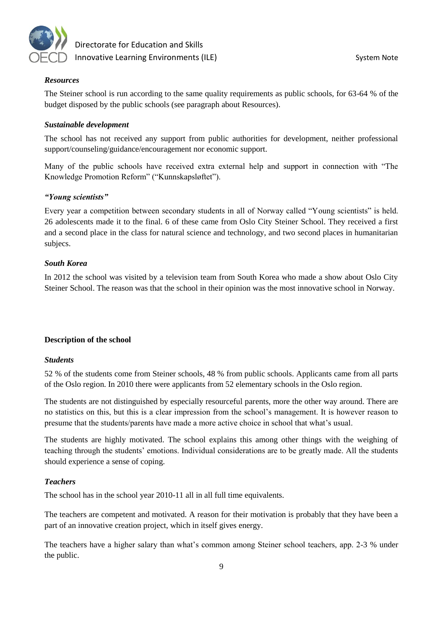

## *Resources*

The Steiner school is run according to the same quality requirements as public schools, for 63-64 % of the budget disposed by the public schools (see paragraph about Resources).

## *Sustainable development*

The school has not received any support from public authorities for development, neither professional support/counseling/guidance/encouragement nor economic support.

Many of the public schools have received extra external help and support in connection with "The Knowledge Promotion Reform" ("Kunnskapsløftet").

## *"Young scientists"*

Every year a competition between secondary students in all of Norway called "Young scientists" is held. 26 adolescents made it to the final. 6 of these came from Oslo City Steiner School. They received a first and a second place in the class for natural science and technology, and two second places in humanitarian subjecs.

## *South Korea*

In 2012 the school was visited by a television team from South Korea who made a show about Oslo City Steiner School. The reason was that the school in their opinion was the most innovative school in Norway.

#### **Description of the school**

#### *Students*

52 % of the students come from Steiner schools, 48 % from public schools. Applicants came from all parts of the Oslo region. In 2010 there were applicants from 52 elementary schools in the Oslo region.

The students are not distinguished by especially resourceful parents, more the other way around. There are no statistics on this, but this is a clear impression from the school's management. It is however reason to presume that the students/parents have made a more active choice in school that what's usual.

The students are highly motivated. The school explains this among other things with the weighing of teaching through the students' emotions. Individual considerations are to be greatly made. All the students should experience a sense of coping.

#### *Teachers*

The school has in the school year 2010-11 all in all full time equivalents.

The teachers are competent and motivated. A reason for their motivation is probably that they have been a part of an innovative creation project, which in itself gives energy.

The teachers have a higher salary than what's common among Steiner school teachers, app. 2-3 % under the public.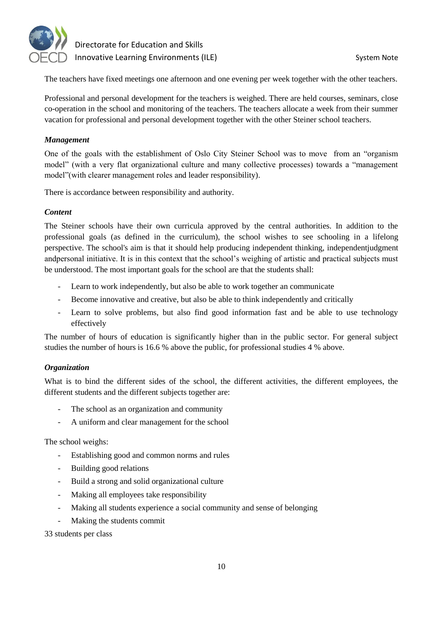

The teachers have fixed meetings one afternoon and one evening per week together with the other teachers.

Professional and personal development for the teachers is weighed. There are held courses, seminars, close co-operation in the school and monitoring of the teachers. The teachers allocate a week from their summer vacation for professional and personal development together with the other Steiner school teachers.

## *Management*

One of the goals with the establishment of Oslo City Steiner School was to move from an "organism model" (with a very flat organizational culture and many collective processes) towards a "management model"(with clearer management roles and leader responsibility).

There is accordance between responsibility and authority.

## *Content*

The Steiner schools have their own curricula approved by the central authorities. In addition to the professional goals (as defined in the curriculum), the school wishes to see schooling in a lifelong perspective. The school's aim is that it should help producing independent thinking, independentjudgment andpersonal initiative. It is in this context that the school's weighing of artistic and practical subjects must be understood. The most important goals for the school are that the students shall:

- Learn to work independently, but also be able to work together an communicate
- Become innovative and creative, but also be able to think independently and critically
- Learn to solve problems, but also find good information fast and be able to use technology effectively

The number of hours of education is significantly higher than in the public sector. For general subject studies the number of hours is 16.6 % above the public, for professional studies 4 % above.

## *Organization*

What is to bind the different sides of the school, the different activities, the different employees, the different students and the different subjects together are:

- The school as an organization and community
- A uniform and clear management for the school

The school weighs:

- Establishing good and common norms and rules
- Building good relations
- Build a strong and solid organizational culture
- Making all employees take responsibility
- Making all students experience a social community and sense of belonging
- Making the students commit

33 students per class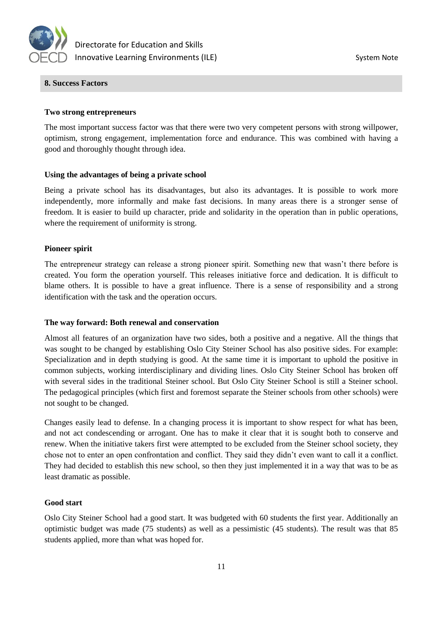

## **8. Success Factors**

#### **Two strong entrepreneurs**

The most important success factor was that there were two very competent persons with strong willpower, optimism, strong engagement, implementation force and endurance. This was combined with having a good and thoroughly thought through idea.

#### **Using the advantages of being a private school**

Being a private school has its disadvantages, but also its advantages. It is possible to work more independently, more informally and make fast decisions. In many areas there is a stronger sense of freedom. It is easier to build up character, pride and solidarity in the operation than in public operations, where the requirement of uniformity is strong.

#### **Pioneer spirit**

The entrepreneur strategy can release a strong pioneer spirit. Something new that wasn't there before is created. You form the operation yourself. This releases initiative force and dedication. It is difficult to blame others. It is possible to have a great influence. There is a sense of responsibility and a strong identification with the task and the operation occurs.

#### **The way forward: Both renewal and conservation**

Almost all features of an organization have two sides, both a positive and a negative. All the things that was sought to be changed by establishing Oslo City Steiner School has also positive sides. For example: Specialization and in depth studying is good. At the same time it is important to uphold the positive in common subjects, working interdisciplinary and dividing lines. Oslo City Steiner School has broken off with several sides in the traditional Steiner school. But Oslo City Steiner School is still a Steiner school. The pedagogical principles (which first and foremost separate the Steiner schools from other schools) were not sought to be changed.

Changes easily lead to defense. In a changing process it is important to show respect for what has been, and not act condescending or arrogant. One has to make it clear that it is sought both to conserve and renew. When the initiative takers first were attempted to be excluded from the Steiner school society, they chose not to enter an open confrontation and conflict. They said they didn't even want to call it a conflict. They had decided to establish this new school, so then they just implemented it in a way that was to be as least dramatic as possible.

#### **Good start**

Oslo City Steiner School had a good start. It was budgeted with 60 students the first year. Additionally an optimistic budget was made (75 students) as well as a pessimistic (45 students). The result was that 85 students applied, more than what was hoped for.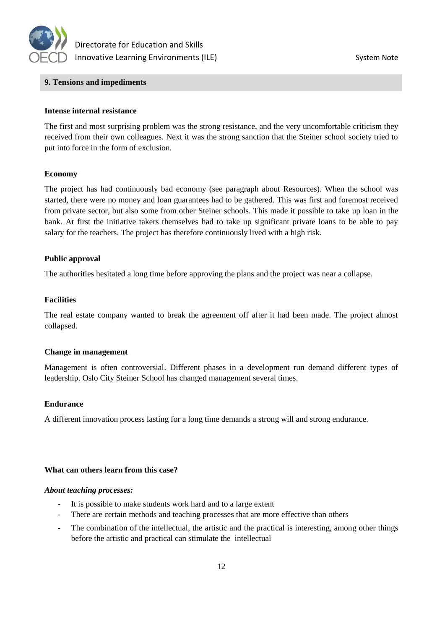

#### **9. Tensions and impediments**

#### **Intense internal resistance**

The first and most surprising problem was the strong resistance, and the very uncomfortable criticism they received from their own colleagues. Next it was the strong sanction that the Steiner school society tried to put into force in the form of exclusion.

#### **Economy**

The project has had continuously bad economy (see paragraph about Resources). When the school was started, there were no money and loan guarantees had to be gathered. This was first and foremost received from private sector, but also some from other Steiner schools. This made it possible to take up loan in the bank. At first the initiative takers themselves had to take up significant private loans to be able to pay salary for the teachers. The project has therefore continuously lived with a high risk.

#### **Public approval**

The authorities hesitated a long time before approving the plans and the project was near a collapse.

#### **Facilities**

The real estate company wanted to break the agreement off after it had been made. The project almost collapsed.

#### **Change in management**

Management is often controversial. Different phases in a development run demand different types of leadership. Oslo City Steiner School has changed management several times.

#### **Endurance**

A different innovation process lasting for a long time demands a strong will and strong endurance.

#### **What can others learn from this case?**

#### *About teaching processes:*

- It is possible to make students work hard and to a large extent
- There are certain methods and teaching processes that are more effective than others
- The combination of the intellectual, the artistic and the practical is interesting, among other things before the artistic and practical can stimulate the intellectual